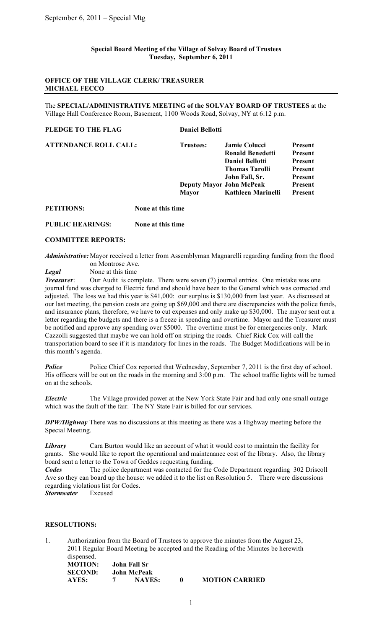## **Special Board Meeting of the Village of Solvay Board of Trustees Tuesday, September 6, 2011**

## **OFFICE OF THE VILLAGE CLERK/ TREASURER MICHAEL FECCO**

The **SPECIAL/ADMINISTRATIVE MEETING of the SOLVAY BOARD OF TRUSTEES** at the Village Hall Conference Room, Basement, 1100 Woods Road, Solvay, NY at 6:12 p.m.

#### **PLEDGE TO THE FLAG** Daniel Bellotti

| ATTENDANCE ROLL CALL: | Trustees:    | <b>Jamie Colucci</b>            | Present |
|-----------------------|--------------|---------------------------------|---------|
|                       |              | <b>Ronald Benedetti</b>         | Present |
|                       |              | <b>Daniel Bellotti</b>          | Present |
|                       |              | <b>Thomas Tarolli</b>           | Present |
|                       |              | John Fall, Sr.                  | Present |
|                       |              | <b>Deputy Mayor John McPeak</b> | Present |
|                       | <b>Mayor</b> | <b>Kathleen Marinelli</b>       | Present |

**PETITIONS: None at this time**

### **PUBLIC HEARINGS: None at this time**

### **COMMITTEE REPORTS:**

*Administrative:* Mayor received a letter from Assemblyman Magnarelli regarding funding from the flood on Montrose Ave.

*Legal* None at this time

*Treasurer*: Our Audit is complete. There were seven (7) journal entries. One mistake was one journal fund was charged to Electric fund and should have been to the General which was corrected and adjusted. The loss we had this year is \$41,000: our surplus is \$130,000 from last year. As discussed at our last meeting, the pension costs are going up \$69,000 and there are discrepancies with the police funds, and insurance plans, therefore, we have to cut expenses and only make up \$30,000. The mayor sent out a letter regarding the budgets and there is a freeze in spending and overtime. Mayor and the Treasurer must be notified and approve any spending over \$5000. The overtime must be for emergencies only. Mark Cazzolli suggested that maybe we can hold off on striping the roads. Chief Rick Cox will call the transportation board to see if it is mandatory for lines in the roads. The Budget Modifications will be in this month's agenda.

**Police** Police Chief Cox reported that Wednesday, September 7, 2011 is the first day of school. His officers will be out on the roads in the morning and 3:00 p.m. The school traffic lights will be turned on at the schools.

*Electric* The Village provided power at the New York State Fair and had only one small outage which was the fault of the fair. The NY State Fair is billed for our services.

*DPW/Highway* There was no discussions at this meeting as there was a Highway meeting before the Special Meeting.

**Library** Cara Burton would like an account of what it would cost to maintain the facility for grants. She would like to report the operational and maintenance cost of the library. Also, the library board sent a letter to the Town of Geddes requesting funding.

*Codes* The police department was contacted for the Code Department regarding 302 Driscoll Ave so they can board up the house: we added it to the list on Resolution 5. There were discussions regarding violations list for Codes.

*Stormwater* Excused

# **RESOLUTIONS:**

1. Authorization from the Board of Trustees to approve the minutes from the August 23, 2011 Regular Board Meeting be accepted and the Reading of the Minutes be herewith dispensed. **MOTION: John Fall Sr**

| MUTIVI,        |             | эчин ган эг   |  |                       |
|----------------|-------------|---------------|--|-----------------------|
| <b>SECOND:</b> | John McPeak |               |  |                       |
| AYES:          |             | <b>NAYES:</b> |  | <b>MOTION CARRIED</b> |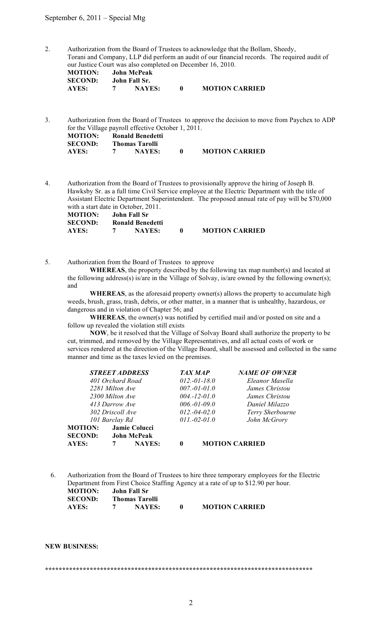### September 6, 2011 – Special Mtg

2. Authorization from the Board of Trustees to acknowledge that the Bollam, Sheedy, Torani and Company, LLP did perform an audit of our financial records. The required audit of our Justice Court was also completed on December 16, 2010. **MOTION: John McPeak SECOND: John Fall Sr. AYES: 7 NAYES: 0 MOTION CARRIED**

3. Authorization from the Board of Trustees to approve the decision to move from Paychex to ADP for the Village payroll effective October 1, 2011. **MOTION: Ronald Benedetti SECOND: Thomas Tarolli AYES: 7 NAYES: 0 MOTION CARRIED**

4. Authorization from the Board of Trustees to provisionally approve the hiring of Joseph B. Hawksby Sr. as a full time Civil Service employee at the Electric Department with the title of Assistant Electric Department Superintendent. The proposed annual rate of pay will be \$70,000 with a start date in October, 2011.

| <b>MOTION:</b> | John Fall Sr     |                       |
|----------------|------------------|-----------------------|
| <b>SECOND:</b> | Ronald Benedetti |                       |
| AYES:          | <b>NAYES:</b>    | <b>MOTION CARRIED</b> |

5. Authorization from the Board of Trustees to approve

**WHEREAS**, the property described by the following tax map number(s) and located at the following address(s) is/are in the Village of Solvay, is/are owned by the following owner(s); and

 **WHEREAS**, as the aforesaid property owner(s) allows the property to accumulate high weeds, brush, grass, trash, debris, or other matter, in a manner that is unhealthy, hazardous, or dangerous and in violation of Chapter 56; and

 **WHEREAS**, the owner(s) was notified by certified mail and/or posted on site and a follow up revealed the violation still exists

 **NOW**, be it resolved that the Village of Solvay Board shall authorize the property to be cut, trimmed, and removed by the Village Representatives, and all actual costs of work or services rendered at the direction of the Village Board, shall be assessed and collected in the same manner and time as the taxes levied on the premises.

| <b>STREET ADDRESS</b> |                  |                    | <b>TAX MAP</b> | <b>NAME OF OWNER</b> |                       |
|-----------------------|------------------|--------------------|----------------|----------------------|-----------------------|
| 401 Orchard Road      |                  |                    | $012,-01-18.0$ | Eleanor Masella      |                       |
| 2281 Milton Ave       |                  |                    |                | $007.-01-.01.0$      | James Christou        |
|                       | 2300 Milton Ave  |                    |                | $004.-12-01.0$       | James Christou        |
| 413 Darrow Ave        |                  |                    |                | $006.-01-.09.0$      | Daniel Milazzo        |
|                       | 302 Driscoll Ave |                    |                | $012,-04-02.0$       | Terry Sherbourne      |
|                       | 101 Barclay Rd   |                    |                | $011.-02-01.0$       | John McGrory          |
| <b>MOTION:</b>        |                  | Jamie Colucci      |                |                      |                       |
| <b>SECOND:</b>        |                  | <b>John McPeak</b> |                |                      |                       |
| AYES:                 | 7                | <b>NAYES:</b>      | 0              |                      | <b>MOTION CARRIED</b> |

6. Authorization from the Board of Trustees to hire three temporary employees for the Electric Department from First Choice Staffing Agency at a rate of up to \$12.90 per hour.<br>**MOTION:** John Fall Sr **John Fall Sr SECOND: Thomas Tarolli AYES: 7 NAYES: 0 MOTION CARRIED**

**NEW BUSINESS:**

#### **\*\*\*\*\*\*\*\*\*\*\*\*\*\*\*\*\*\*\*\*\*\*\*\*\*\*\*\*\*\*\*\*\*\*\*\*\*\*\*\*\*\*\*\*\*\*\*\*\*\*\*\*\*\*\*\*\*\*\*\*\*\*\*\*\*\*\*\*\*\*\*\*\*\*\*\*\*\***